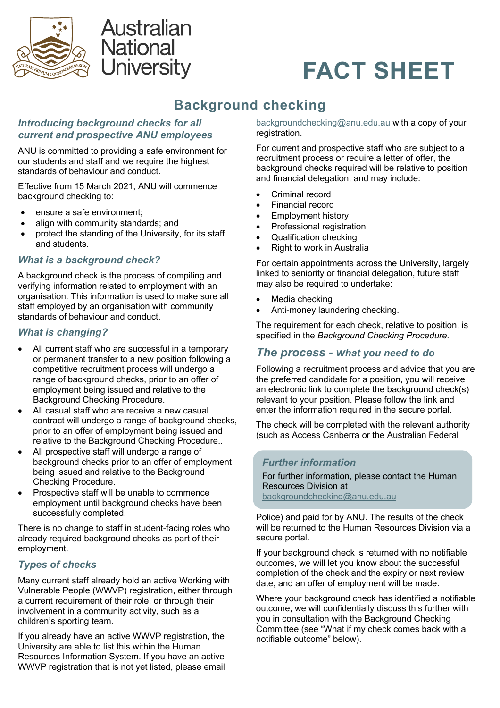

# **Australian National** University



# **Background checking**

# *Introducing background checks for all current and prospective ANU employees*

ANU is committed to providing a safe environment for our students and staff and we require the highest standards of behaviour and conduct.

Effective from 15 March 2021, ANU will commence background checking to:

- ensure a safe environment;
- align with community standards; and
- protect the standing of the University, for its staff and students.

# *What is a background check?*

A background check is the process of compiling and verifying information related to employment with an organisation. This information is used to make sure all staff employed by an organisation with community standards of behaviour and conduct.

# *What is changing?*

- All current staff who are successful in a temporary or permanent transfer to a new position following a competitive recruitment process will undergo a range of background checks, prior to an offer of employment being issued and relative to the Background Checking Procedure.
- All casual staff who are receive a new casual contract will undergo a range of background checks, prior to an offer of employment being issued and relative to the Background Checking Procedure..
- All prospective staff will undergo a range of background checks prior to an offer of employment being issued and relative to the Background Checking Procedure.
- Prospective staff will be unable to commence employment until background checks have been successfully completed.

There is no change to staff in student-facing roles who already required background checks as part of their employment.

# *Types of checks*

Many current staff already hold an active Working with Vulnerable People (WWVP) registration, either through a current requirement of their role, or through their involvement in a community activity, such as a children's sporting team.

If you already have an active WWVP registration, the University are able to list this within the Human Resources Information System. If you have an active WWVP registration that is not yet listed, please email backgroundchecking@anu.edu.au with a copy of your registration.

For current and prospective staff who are subject to a recruitment process or require a letter of offer, the background checks required will be relative to position and financial delegation, and may include:

- Criminal record
- Financial record
- Employment history
- Professional registration
- Qualification checking
- Right to work in Australia

For certain appointments across the University, largely linked to seniority or financial delegation, future staff may also be required to undertake:

- Media checking
- Anti-money laundering checking.

The requirement for each check, relative to position, is specified in the *Background Checking Procedure.*

# *The process - what you need to do*

Following a recruitment process and advice that you are the preferred candidate for a position, you will receive an electronic link to complete the background check(s) relevant to your position. Please follow the link and enter the information required in the secure portal.

The check will be completed with the relevant authority (such as Access Canberra or the Australian Federal

#### *Further information*

For further information, please contact the Human Resources Division at backgroundchecking@anu.edu.au

Police) and paid for by ANU. The results of the check will be returned to the Human Resources Division via a secure portal.

If your background check is returned with no notifiable outcomes, we will let you know about the successful completion of the check and the expiry or next review date, and an offer of employment will be made.

Where your background check has identified a notifiable outcome, we will confidentially discuss this further with you in consultation with the Background Checking Committee (see "What if my check comes back with a notifiable outcome" below).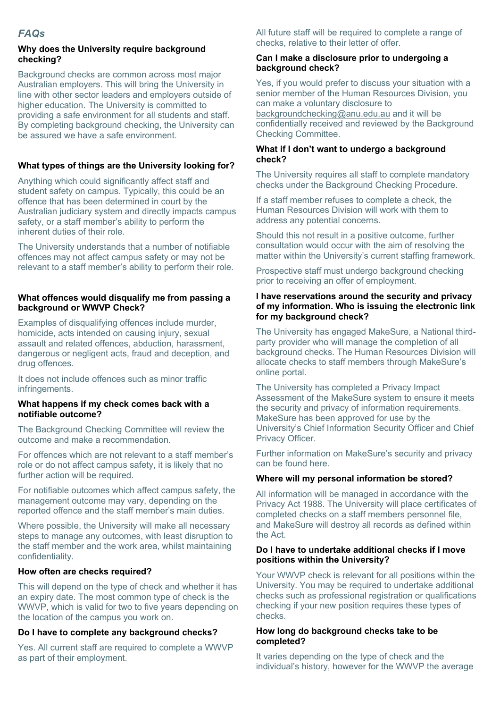#### **Why does the University require background checking?**

Background checks are common across most major Australian employers. This will bring the University in line with other sector leaders and employers outside of higher education. The University is committed to providing a safe environment for all students and staff. By completing background checking, the University can be assured we have a safe environment.

### **What types of things are the University looking for?**

Anything which could significantly affect staff and student safety on campus. Typically, this could be an offence that has been determined in court by the Australian judiciary system and directly impacts campus safety, or a staff member's ability to perform the inherent duties of their role.

The University understands that a number of notifiable offences may not affect campus safety or may not be relevant to a staff member's ability to perform their role.

#### **What offences would disqualify me from passing a background or WWVP Check?**

Examples of disqualifying offences include murder, homicide, acts intended on causing injury, sexual assault and related offences, abduction, harassment, dangerous or negligent acts, fraud and deception, and drug offences.

It does not include offences such as minor traffic infringements.

#### **What happens if my check comes back with a notifiable outcome?**

The Background Checking Committee will review the outcome and make a recommendation.

For offences which are not relevant to a staff member's role or do not affect campus safety, it is likely that no further action will be required.

For notifiable outcomes which affect campus safety, the management outcome may vary, depending on the reported offence and the staff member's main duties.

Where possible, the University will make all necessary steps to manage any outcomes, with least disruption to the staff member and the work area, whilst maintaining confidentiality.

#### **How often are checks required?**

This will depend on the type of check and whether it has an expiry date. The most common type of check is the WWVP, which is valid for two to five years depending on the location of the campus you work on.

#### **Do I have to complete any background checks?**

Yes. All current staff are required to complete a WWVP as part of their employment.

All future staff will be required to complete a range of checks, relative to their letter of offer.

#### **Can I make a disclosure prior to undergoing a background check?**

Yes, if you would prefer to discuss your situation with a senior member of the Human Resources Division, you can make a voluntary disclosure to backgroundchecking@anu.edu.au and it will be confidentially received and reviewed by the Background Checking Committee.

#### **What if I don't want to undergo a background check?**

The University requires all staff to complete mandatory checks under the Background Checking Procedure.

If a staff member refuses to complete a check, the Human Resources Division will work with them to address any potential concerns.

Should this not result in a positive outcome, further consultation would occur with the aim of resolving the matter within the University's current staffing framework.

Prospective staff must undergo background checking prior to receiving an offer of employment.

#### **I have reservations around the security and privacy of my information. Who is issuing the electronic link for my background check?**

The University has engaged MakeSure, a National thirdparty provider who will manage the completion of all background checks. The Human Resources Division will allocate checks to staff members through MakeSure's online portal.

The University has completed a Privacy Impact Assessment of the MakeSure system to ensure it meets the security and privacy of information requirements. MakeSure has been approved for use by the University's Chief Information Security Officer and Chief Privacy Officer.

Further information on MakeSure's security and privacy can be found here.

#### **Where will my personal information be stored?**

All information will be managed in accordance with the Privacy Act 1988. The University will place certificates of completed checks on a staff members personnel file, and MakeSure will destroy all records as defined within the Act.

#### **Do I have to undertake additional checks if I move positions within the University?**

Your WWVP check is relevant for all positions within the University. You may be required to undertake additional checks such as professional registration or qualifications checking if your new position requires these types of checks.

#### **How long do background checks take to be completed?**

It varies depending on the type of check and the individual's history, however for the WWVP the average